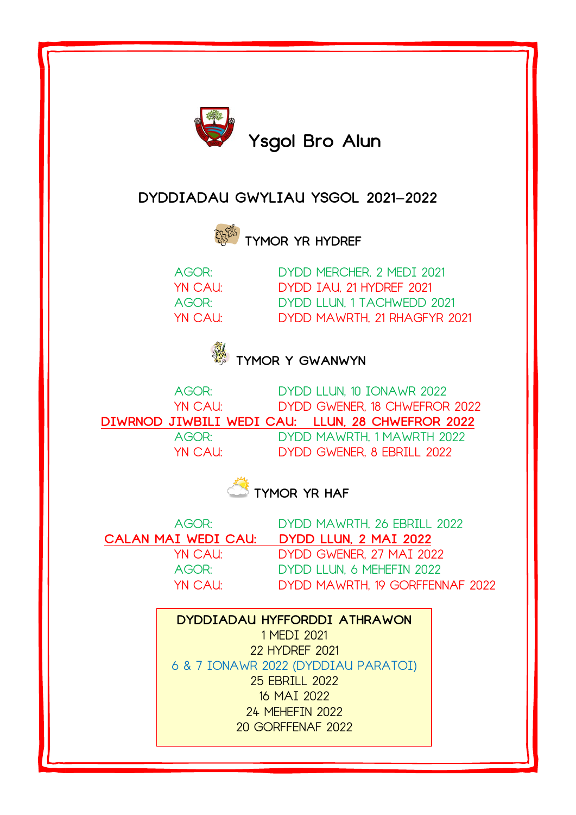

## **DYDDIADAU GWYLIAU YSGOL 2021-2022**



**TYMOR YR HYDREF**

AGOR: DYDD MERCHER, 2 MEDI 2021 YN CAU: DYDD IAU, 21 HYDREF 2021 AGOR: DYDD LLUN, 1 TACHWEDD 2021 YN CAU: DYDD MAWRTH, 21 RHAGFYR 2021





AGOR: DYDD LLUN, 10 IONAWR 2022 YN CAU: DYDD GWENER, 18 CHWEFROR 2022 **DIWRNOD JIWBILI WEDI CAU: LLUN, 28 CHWEFROR 2022** AGOR: DYDD MAWRTH, 1 MAWRTH 2022 YN CAU: DYDD GWENER, 8 EBRILL 2022

**TYMOR YR HAF** 

AGOR: DYDD MAWRTH, 26 EBRILL 2022 **CALAN MAI WEDI CAU: DYDD LLUN, 2 MAI 2022** YN CAU: DYDD GWENER, 27 MAI 2022 AGOR: DYDD LLUN, 6 MEHEFIN 2022 YN CAU: DYDD MAWRTH, 19 GORFFENNAF 2022

> **DYDDIADAU HYFFORDDI ATHRAWON** 1 MEDI 2021 22 HYDREF 2021 6 & 7 IONAWR 2022 (DYDDIAU PARATOI) 25 EBRILL 2022 16 MAI 2022 24 MEHEFIN 2022 20 GORFFENAF 2022